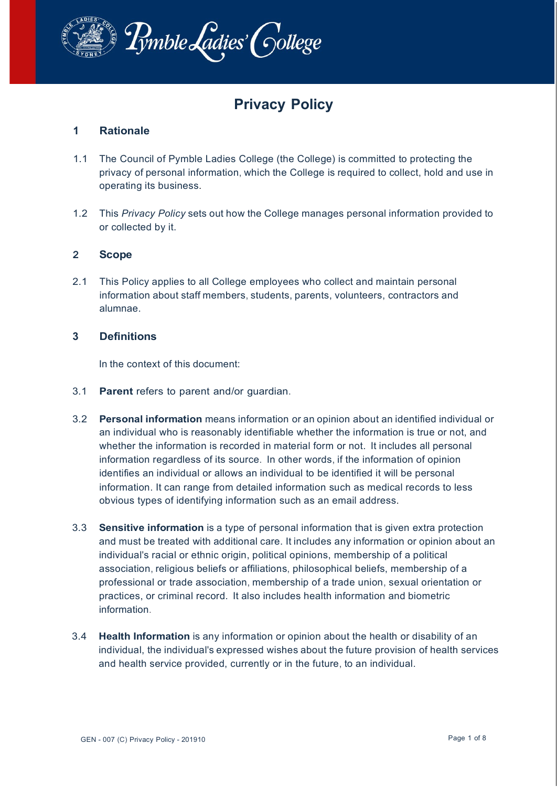

# **Privacy Policy**

# **1 Rationale**

- 1.1 The Council of Pymble Ladies College (the College) is committed to protecting the privacy of personal information, which the College is required to collect, hold and use in operating its business.
- 1.2 This *Privacy Policy* sets out how the College manages personal information provided to or collected by it.

## **2 Scope**

2.1 This Policy applies to all College employees who collect and maintain personal information about staff members, students, parents, volunteers, contractors and alumnae.

## **3 Definitions**

In the context of this document:

- 3.1 **Parent** refers to parent and/or guardian.
- 3.2 **Personal information** means information or an opinion about an identified individual or an individual who is reasonably identifiable whether the information is true or not, and whether the information is recorded in material form or not. It includes all personal information regardless of its source. In other words, if the information of opinion identifies an individual or allows an individual to be identified it will be personal information. It can range from detailed information such as medical records to less obvious types of identifying information such as an email address.
- 3.3 **Sensitive information** is a type of personal information that is given extra protection and must be treated with additional care. It includes any information or opinion about an individual's racial or ethnic origin, political opinions, membership of a political association, religious beliefs or affiliations, philosophical beliefs, membership of a professional or trade association, membership of a trade union, sexual orientation or practices, or criminal record. It also includes health information and biometric information.
- 3.4 **Health Information** is any information or opinion about the health or disability of an individual, the individual's expressed wishes about the future provision of health services and health service provided, currently or in the future, to an individual.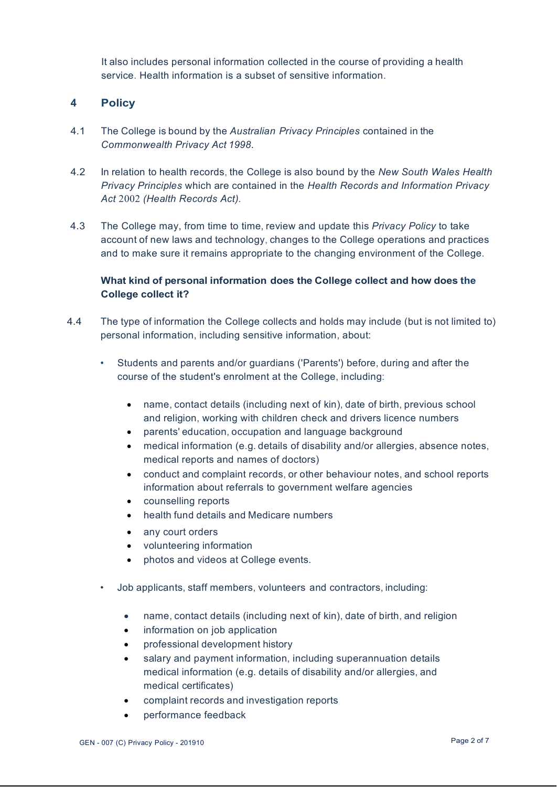It also includes personal information collected in the course of providing a health service. Health information is a subset of sensitive information.

# **4 Policy**

- 4.1 The College is bound by the *Australian Privacy Principles* contained in the *Commonwealth Privacy Act 1998.*
- 4.2 In relation to health records, the College is also bound by the *New South Wales Health Privacy Principles* which are contained in the *Health Records and Information Privacy Act* 2002 *(Health Records Act).*
- 4.3 The College may, from time to time, review and update this *Privacy Policy* to take account of new laws and technology, changes to the College operations and practices and to make sure it remains appropriate to the changing environment of the College.

# **What kind of personal information does the College collect and how does the College collect it?**

- 4.4 The type of information the College collects and holds may include (but is not limited to) personal information, including sensitive information, about:
	- Students and parents and/or guardians ('Parents') before, during and after the course of the student's enrolment at the College, including:
		- name, contact details (including next of kin), date of birth, previous school and religion, working with children check and drivers licence numbers
		- parents' education, occupation and language background
		- medical information (e.g. details of disability and/or allergies, absence notes, medical reports and names of doctors)
		- conduct and complaint records, or other behaviour notes, and school reports information about referrals to government welfare agencies
		- counselling reports
		- health fund details and Medicare numbers
		- any court orders
		- volunteering information
		- photos and videos at College events.
	- Job applicants, staff members, volunteers and contractors, including:
		- name, contact details (including next of kin), date of birth, and religion
		- information on job application
		- professional development history
		- salary and payment information, including superannuation details medical information (e.g. details of disability and/or allergies, and medical certificates)
		- complaint records and investigation reports
		- performance feedback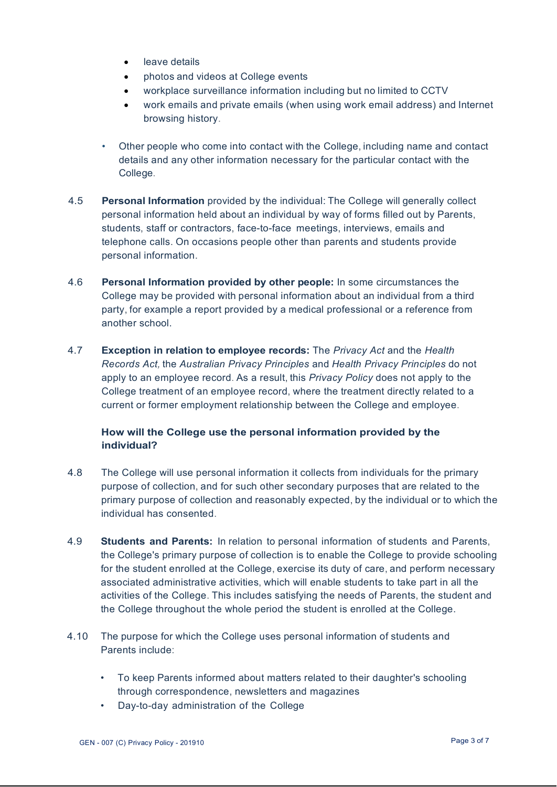- leave details
- photos and videos at College events
- workplace surveillance information including but no limited to CCTV
- work emails and private emails (when using work email address) and Internet browsing history.
- Other people who come into contact with the College, including name and contact details and any other information necessary for the particular contact with the College.
- 4.5 **Personal Information** provided by the individual: The College will generally collect personal information held about an individual by way of forms filled out by Parents, students, staff or contractors, face-to-face meetings, interviews, emails and telephone calls. On occasions people other than parents and students provide personal information.
- 4.6 **Personal Information provided by other people:** In some circumstances the College may be provided with personal information about an individual from a third party, for example a report provided by a medical professional or a reference from another school.
- 4.7 **Exception in relation to employee records:** The *Privacy Act* and the *Health Records Act,* the *Australian Privacy Principles* and *Health Privacy Principles* do not apply to an employee record. As a result, this *Privacy Policy* does not apply to the College treatment of an employee record, where the treatment directly related to a current or former employment relationship between the College and employee.

# **How will the College use the personal information provided by the individual?**

- 4.8 The College will use personal information it collects from individuals for the primary purpose of collection, and for such other secondary purposes that are related to the primary purpose of collection and reasonably expected, by the individual or to which the individual has consented.
- 4.9 **Students and Parents:** In relation to personal information of students and Parents, the College's primary purpose of collection is to enable the College to provide schooling for the student enrolled at the College, exercise its duty of care, and perform necessary associated administrative activities, which will enable students to take part in all the activities of the College. This includes satisfying the needs of Parents, the student and the College throughout the whole period the student is enrolled at the College.
- 4.10 The purpose for which the College uses personal information of students and Parents include:
	- To keep Parents informed about matters related to their daughter's schooling through correspondence, newsletters and magazines
	- Day-to-day administration of the College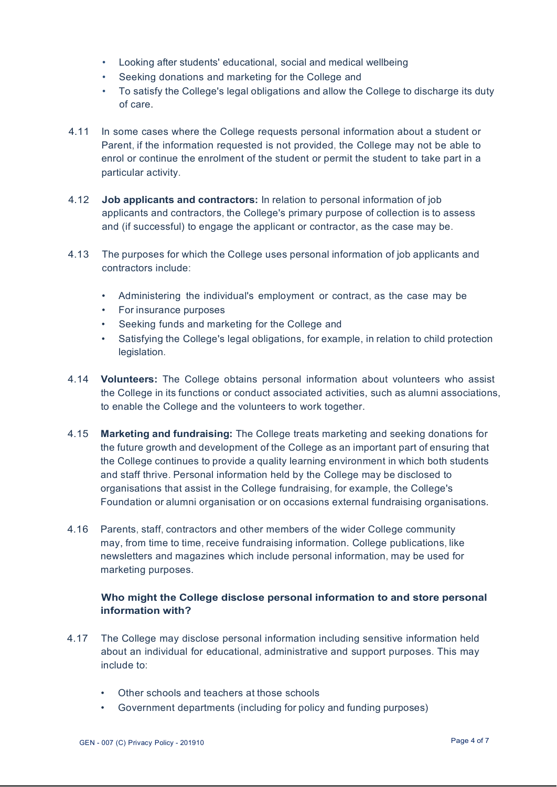- Looking after students' educational, social and medical wellbeing
- Seeking donations and marketing for the College and
- To satisfy the College's legal obligations and allow the College to discharge its duty of care.
- 4.11 In some cases where the College requests personal information about a student or Parent, if the information requested is not provided, the College may not be able to enrol or continue the enrolment of the student or permit the student to take part in a particular activity.
- 4.12 **Job applicants and contractors:** In relation to personal information of job applicants and contractors, the College's primary purpose of collection is to assess and (if successful) to engage the applicant or contractor, as the case may be.
- 4.13 The purposes for which the College uses personal information of job applicants and contractors include:
	- Administering the individual's employment or contract, as the case may be
	- For insurance purposes
	- Seeking funds and marketing for the College and
	- Satisfying the College's legal obligations, for example, in relation to child protection legislation.
- 4.14 **Volunteers:** The College obtains personal information about volunteers who assist the College in its functions or conduct associated activities, such as alumni associations, to enable the College and the volunteers to work together.
- 4.15 **Marketing and fundraising:** The College treats marketing and seeking donations for the future growth and development of the College as an important part of ensuring that the College continues to provide a quality learning environment in which both students and staff thrive. Personal information held by the College may be disclosed to organisations that assist in the College fundraising, for example, the College's Foundation or alumni organisation or on occasions external fundraising organisations.
- 4.16 Parents, staff, contractors and other members of the wider College community may, from time to time, receive fundraising information. College publications, like newsletters and magazines which include personal information, may be used for marketing purposes.

## **Who might the College disclose personal information to and store personal information with?**

- 4.17 The College may disclose personal information including sensitive information held about an individual for educational, administrative and support purposes. This may include to:
	- Other schools and teachers at those schools
	- Government departments (including for policy and funding purposes)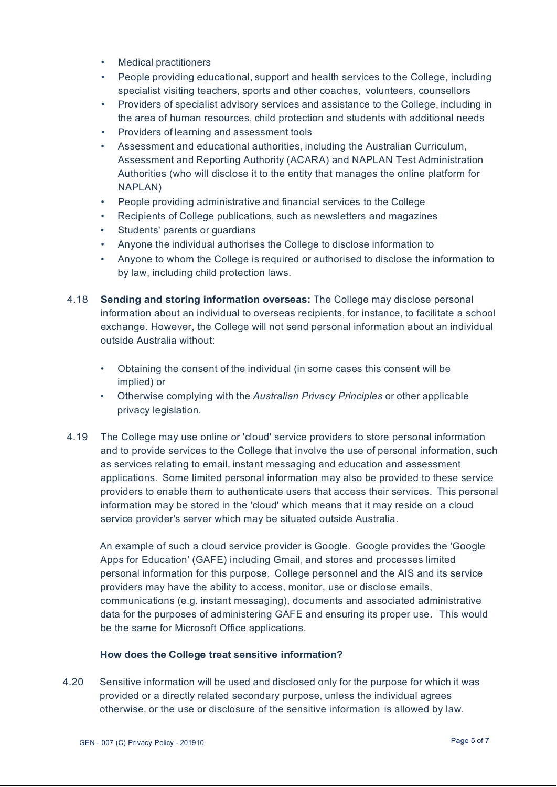- Medical practitioners
- People providing educational, support and health services to the College, including specialist visiting teachers, sports and other coaches, volunteers, counsellors
- Providers of specialist advisory services and assistance to the College, including in the area of human resources, child protection and students with additional needs
- Providers of learning and assessment tools
- Assessment and educational authorities, including the Australian Curriculum, Assessment and Reporting Authority (ACARA) and NAPLAN Test Administration Authorities (who will disclose it to the entity that manages the online platform for NAPLAN)
- People providing administrative and financial services to the College
- Recipients of College publications, such as newsletters and magazines
- Students' parents or guardians
- Anyone the individual authorises the College to disclose information to
- Anyone to whom the College is required or authorised to disclose the information to by law, including child protection laws.
- 4.18 **Sending and storing information overseas:** The College may disclose personal information about an individual to overseas recipients, for instance, to facilitate a school exchange. However, the College will not send personal information about an individual outside Australia without:
	- Obtaining the consent of the individual (in some cases this consent will be implied) or
	- Otherwise complying with the *Australian Privacy Principles* or other applicable privacy legislation.
- 4.19 The College may use online or 'cloud' service providers to store personal information and to provide services to the College that involve the use of personal information, such as services relating to email, instant messaging and education and assessment applications. Some limited personal information may also be provided to these service providers to enable them to authenticate users that access their services. This personal information may be stored in the 'cloud' which means that it may reside on a cloud service provider's server which may be situated outside Australia.

An example of such a cloud service provider is Google. Google provides the 'Google Apps for Education' (GAFE) including Gmail, and stores and processes limited personal information for this purpose. College personnel and the AIS and its service providers may have the ability to access, monitor, use or disclose emails, communications (e.g. instant messaging), documents and associated administrative data for the purposes of administering GAFE and ensuring its proper use. This would be the same for Microsoft Office applications.

#### **How does the College treat sensitive information?**

4.20 Sensitive information will be used and disclosed only for the purpose for which it was provided or a directly related secondary purpose, unless the individual agrees otherwise, or the use or disclosure of the sensitive information is allowed by law.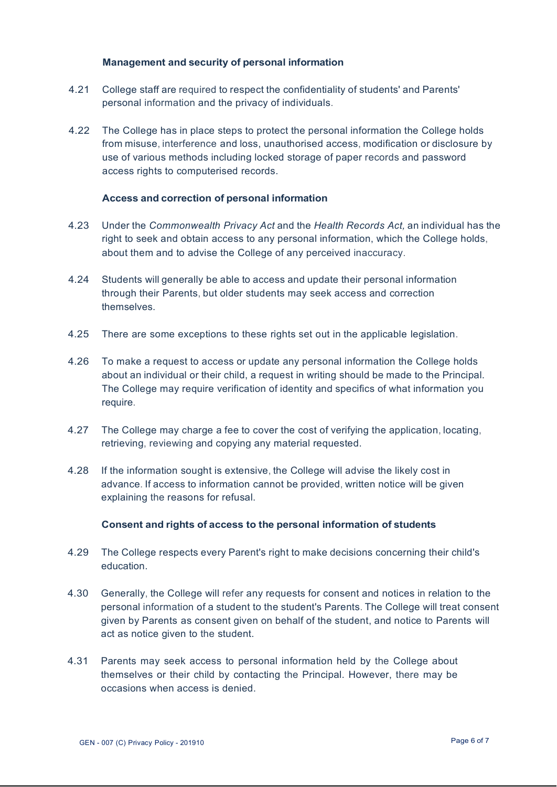#### **Management and security of personal information**

- 4.21 College staff are required to respect the confidentiality of students' and Parents' personal information and the privacy of individuals.
- 4.22 The College has in place steps to protect the personal information the College holds from misuse, interference and loss, unauthorised access, modification or disclosure by use of various methods including locked storage of paper records and password access rights to computerised records.

#### **Access and correction of personal information**

- 4.23 Under the *Commonwealth Privacy Act* and the *Health Records Act,* an individual has the right to seek and obtain access to any personal information, which the College holds, about them and to advise the College of any perceived inaccuracy.
- 4.24 Students will generally be able to access and update their personal information through their Parents, but older students may seek access and correction themselves.
- 4.25 There are some exceptions to these rights set out in the applicable legislation.
- 4.26 To make a request to access or update any personal information the College holds about an individual or their child, a request in writing should be made to the Principal. The College may require verification of identity and specifics of what information you require.
- 4.27 The College may charge a fee to cover the cost of verifying the application, locating, retrieving, reviewing and copying any material requested.
- 4.28 If the information sought is extensive, the College will advise the likely cost in advance. If access to information cannot be provided, written notice will be given explaining the reasons for refusal.

#### **Consent and rights of access to the personal information of students**

- 4.29 The College respects every Parent's right to make decisions concerning their child's education.
- 4.30 Generally, the College will refer any requests for consent and notices in relation to the personal information of a student to the student's Parents. The College will treat consent given by Parents as consent given on behalf of the student, and notice to Parents will act as notice given to the student.
- 4.31 Parents may seek access to personal information held by the College about themselves or their child by contacting the Principal. However, there may be occasions when access is denied.